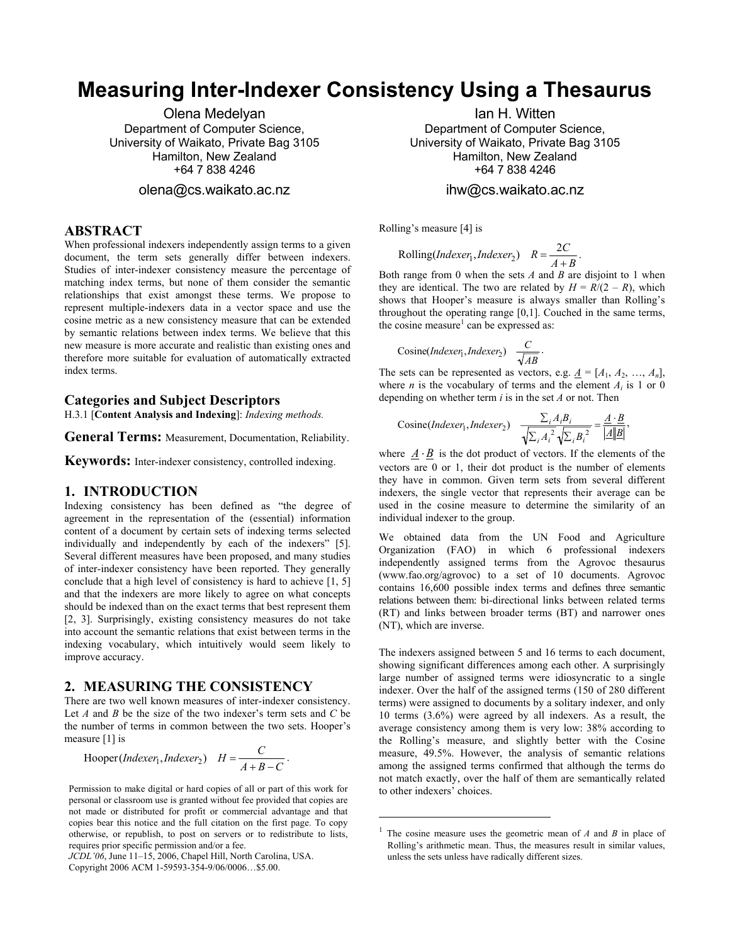# **Measuring Inter-Indexer Consistency Using a Thesaurus**

Olena Medelyan Department of Computer Science, University of Waikato, Private Bag 3105 Hamilton, New Zealand +64 7 838 4246

olena@cs.waikato.ac.nz

# **ABSTRACT**

When professional indexers independently assign terms to a given document, the term sets generally differ between indexers. Studies of inter-indexer consistency measure the percentage of matching index terms, but none of them consider the semantic relationships that exist amongst these terms. We propose to represent multiple-indexers data in a vector space and use the cosine metric as a new consistency measure that can be extended by semantic relations between index terms. We believe that this new measure is more accurate and realistic than existing ones and therefore more suitable for evaluation of automatically extracted index terms.

#### **Categories and Subject Descriptors**

H.3.1 [**Content Analysis and Indexing**]: *Indexing methods.* 

**General Terms:** Measurement, Documentation, Reliability.

**Keywords:** Inter-indexer consistency, controlled indexing.

## **1. INTRODUCTION**

Indexing consistency has been defined as "the degree of agreement in the representation of the (essential) information content of a document by certain sets of indexing terms selected individually and independently by each of the indexers" [5]. Several different measures have been proposed, and many studies of inter-indexer consistency have been reported. They generally conclude that a high level of consistency is hard to achieve [1, 5] and that the indexers are more likely to agree on what concepts should be indexed than on the exact terms that best represent them [2, 3]. Surprisingly, existing consistency measures do not take into account the semantic relations that exist between terms in the indexing vocabulary, which intuitively would seem likely to improve accuracy.

#### **2. MEASURING THE CONSISTENCY**

There are two well known measures of inter-indexer consistency. Let *A* and *B* be the size of the two indexer's term sets and *C* be the number of terms in common between the two sets. Hooper's measure [1] is

Hooper(*Indexer*<sub>1</sub>,*Indexer*<sub>2</sub>) 
$$
H = \frac{C}{A+B-C}
$$
.

Permission to make digital or hard copies of all or part of this work for personal or classroom use is granted without fee provided that copies are not made or distributed for profit or commercial advantage and that copies bear this notice and the full citation on the first page. To copy otherwise, or republish, to post on servers or to redistribute to lists, requires prior specific permission and/or a fee.

*JCDL'06*, June 11–15, 2006, Chapel Hill, North Carolina, USA. Copyright 2006 ACM 1-59593-354-9/06/0006…\$5.00.

Ian H. Witten Department of Computer Science, University of Waikato, Private Bag 3105 Hamilton, New Zealand +64 7 838 4246

# ihw@cs.waikato.ac.nz

Rolling's measure [4] is

Rolling(*Indexer*<sub>1</sub>,*Indexer*<sub>2</sub>)  $R = \frac{2C}{A+B}$ .

Both range from 0 when the sets *A* and *B* are disjoint to 1 when they are identical. The two are related by  $H = R/(2 - R)$ , which shows that Hooper's measure is always smaller than Rolling's throughout the operating range [0,1]. Couched in the same terms, the cosine measure<sup>1</sup> can be expressed as:

Cosine(*Indexer*<sub>1</sub>,*Indexer*<sub>2</sub>) 
$$
\frac{C}{\sqrt{AB}}
$$
.

The sets can be represented as vectors, e.g.  $\underline{A} = [A_1, A_2, ..., A_n]$ , where *n* is the vocabulary of terms and the element  $A_i$  is 1 or 0 depending on whether term *i* is in the set *A* or not. Then

Cosine(*Indexer*<sub>1</sub>,*Indexer*<sub>2</sub>) 
$$
\frac{\sum_{i} A_{i} B_{i}}{\sqrt{\sum_{i} A_{i}^{2}} \sqrt{\sum_{i} B_{i}^{2}}} = \frac{A \cdot B}{|A||B|},
$$

where  $\underline{A} \cdot \underline{B}$  is the dot product of vectors. If the elements of the vectors are 0 or 1, their dot product is the number of elements they have in common. Given term sets from several different indexers, the single vector that represents their average can be used in the cosine measure to determine the similarity of an individual indexer to the group.

We obtained data from the UN Food and Agriculture Organization (FAO) in which 6 professional indexers independently assigned terms from the Agrovoc thesaurus (www.fao.org/agrovoc) to a set of 10 documents. Agrovoc contains 16,600 possible index terms and defines three semantic relations between them: bi-directional links between related terms (RT) and links between broader terms (BT) and narrower ones (NT), which are inverse.

The indexers assigned between 5 and 16 terms to each document, showing significant differences among each other. A surprisingly large number of assigned terms were idiosyncratic to a single indexer. Over the half of the assigned terms (150 of 280 different terms) were assigned to documents by a solitary indexer, and only 10 terms (3.6%) were agreed by all indexers. As a result, the average consistency among them is very low: 38% according to the Rolling's measure, and slightly better with the Cosine measure, 49.5%. However, the analysis of semantic relations among the assigned terms confirmed that although the terms do not match exactly, over the half of them are semantically related to other indexers' choices.

1

<sup>1</sup> The cosine measure uses the geometric mean of *A* and *B* in place of Rolling's arithmetic mean. Thus, the measures result in similar values, unless the sets unless have radically different sizes.